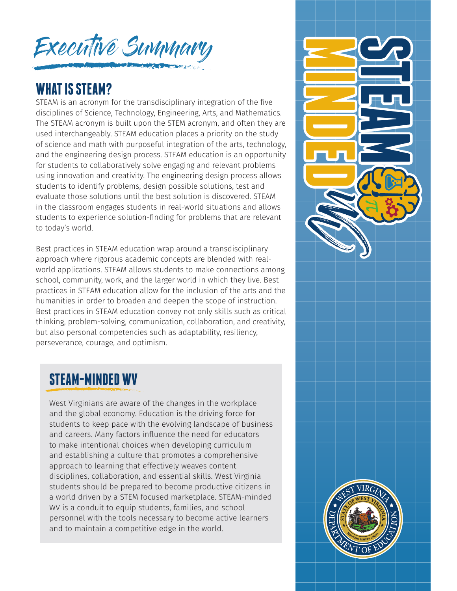

#### **WHAT IS STEAM?**

STEAM is an acronym for the transdisciplinary integration of the five disciplines of Science, Technology, Engineering, Arts, and Mathematics. The STEAM acronym is built upon the STEM acronym, and often they are used interchangeably. STEAM education places a priority on the study of science and math with purposeful integration of the arts, technology, and the engineering design process. STEAM education is an opportunity for students to collaboratively solve engaging and relevant problems using innovation and creativity. The engineering design process allows students to identify problems, design possible solutions, test and evaluate those solutions until the best solution is discovered. STEAM in the classroom engages students in real-world situations and allows students to experience solution-finding for problems that are relevant to today's world.

Best practices in STEAM education wrap around a transdisciplinary approach where rigorous academic concepts are blended with realworld applications. STEAM allows students to make connections among school, community, work, and the larger world in which they live. Best practices in STEAM education allow for the inclusion of the arts and the humanities in order to broaden and deepen the scope of instruction. Best practices in STEAM education convey not only skills such as critical thinking, problem-solving, communication, collaboration, and creativity, but also personal competencies such as adaptability, resiliency, perseverance, courage, and optimism.

# **STEAM-MINDED WV**

West Virginians are aware of the changes in the workplace and the global economy. Education is the driving force for students to keep pace with the evolving landscape of business and careers. Many factors influence the need for educators to make intentional choices when developing curriculum and establishing a culture that promotes a comprehensive approach to learning that effectively weaves content disciplines, collaboration, and essential skills. West Virginia students should be prepared to become productive citizens in a world driven by a STEM focused marketplace. STEAM-minded WV is a conduit to equip students, families, and school personnel with the tools necessary to become active learners and to maintain a competitive edge in the world.